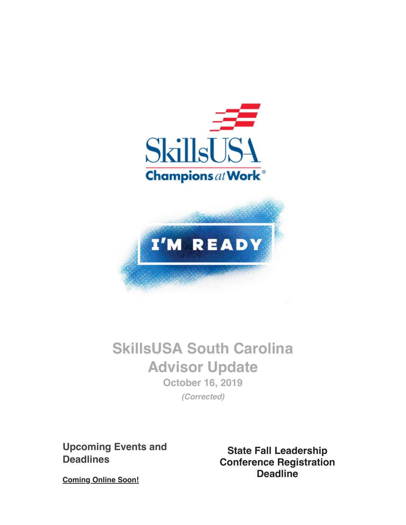



# **SkillsUSA South Carolina Advisor Update October 16, 2019**

**(Corrected)**

**Upcoming Events and Deadlines**

**State Fall Leadership Conference Registration Deadline**

**Coming Online Soon!**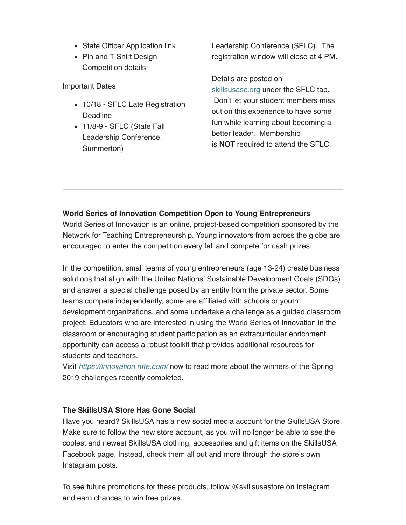- State Officer Application link
- Pin and T-Shirt Design Competition details

Important Dates

- 10/18 SFLC Late Registration **Deadline**
- 11/8-9 SFLC (State Fall Leadership Conference, Summerton)

Leadership Conference (SFLC). The registration window will close at 4 PM.

Details are posted on skillsusasc.org under the SFLC tab. Don't let your student members miss out on this experience to have some fun while learning about becoming a better leader. Membership is **NOT** required to attend the SFLC.

## **World Series of Innovation Competition Open to Young Entrepreneurs**

World Series of Innovation is an online, project-based competition sponsored by the Network for Teaching Entrepreneurship. Young innovators from across the globe are encouraged to enter the competition every fall and compete for cash prizes.

In the competition, small teams of young entrepreneurs (age 13-24) create business solutions that align with the United Nations' Sustainable Development Goals (SDGs) and answer a special challenge posed by an entity from the private sector. Some teams compete independently, some are affiliated with schools or youth development organizations, and some undertake a challenge as a guided classroom project. Educators who are interested in using the World Series of Innovation in the classroom or encouraging student participation as an extracurricular enrichment opportunity can access a robust toolkit that provides additional resources for students and teachers.

Visit *https://innovation.nfte.com/* now to read more about the winners of the Spring 2019 challenges recently completed.

## **The SkillsUSA Store Has Gone Social**

Have you heard? SkillsUSA has a new social media account for the SkillsUSA Store. Make sure to follow the new store account, as you will no longer be able to see the coolest and newest SkillsUSA clothing, accessories and gift items on the SkillsUSA Facebook page. Instead, check them all out and more through the store's own Instagram posts.

To see future promotions for these products, follow @skillsusastore on Instagram and earn chances to win free prizes.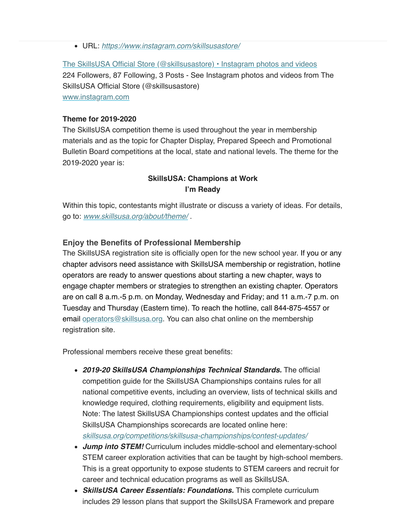URL: https://www.instagram.com/skillsusastore/

The SkillsUSA Official Store (@skillsusastore) • Instagram photos and videos 224 Followers, 87 Following, 3 Posts - See Instagram photos and videos from The SkillsUSA Official Store (@skillsusastore) www.instagram.com

#### **Theme for 2019-2020**

The SkillsUSA competition theme is used throughout the year in membership materials and as the topic for Chapter Display, Prepared Speech and Promotional Bulletin Board competitions at the local, state and national levels. The theme for the 2019-2020 year is:

## **SkillsUSA: Champions at Work I'm Ready**

Within this topic, contestants might illustrate or discuss a variety of ideas. For details, go to: www.skillsusa.org/about/theme/ .

### **Enjoy the Benefits of Professional Membership**

The SkillsUSA registration site is officially open for the new school year. If you or any chapter advisors need assistance with SkillsUSA membership or registration, hotline operators are ready to answer questions about starting a new chapter, ways to engage chapter members or strategies to strengthen an existing chapter. Operators are on call 8 a.m.-5 p.m. on Monday, Wednesday and Friday; and 11 a.m.-7 p.m. on Tuesday and Thursday (Eastern time). To reach the hotline, call 844-875-4557 or email *operators@skillsusa.org*. You can also chat online on the membership registration site.

Professional members receive these great benefits:

- **2019-20 SkillsUSA Championships Technical Standards.** The official competition guide for the SkillsUSA Championships contains rules for all national competitive events, including an overview, lists of technical skills and knowledge required, clothing requirements, eligibility and equipment lists. Note: The latest SkillsUSA Championships contest updates and the official SkillsUSA Championships scorecards are located online here: skillsusa.org/competitions/skillsusa-championships/contest-updates/
- **Jump into STEM!** Curriculum includes middle-school and elementary-school STEM career exploration activities that can be taught by high-school members. This is a great opportunity to expose students to STEM careers and recruit for career and technical education programs as well as SkillsUSA.
- **SkillsUSA Career Essentials: Foundations.** This complete curriculum includes 29 lesson plans that support the SkillsUSA Framework and prepare